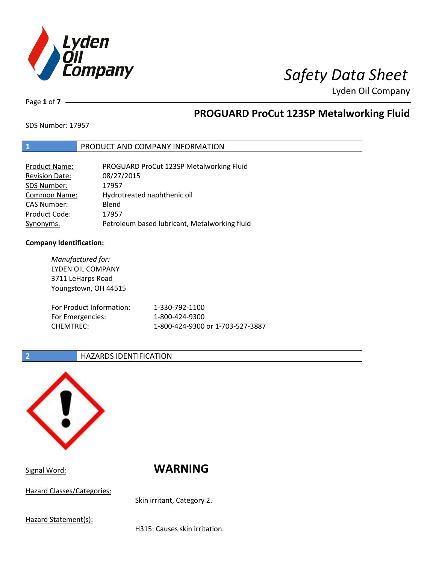

Page **1** of **7**

# **PROGUARD ProCut 123SP Metalworking Fluid**

SDS Number: 17957

## **1** PRODUCT AND COMPANY INFORMATION

| <b>Product Name:</b>  | PROGUARD ProCut 123SP Metalworking Fluid      |
|-----------------------|-----------------------------------------------|
| <b>Revision Date:</b> | 08/27/2015                                    |
| SDS Number:           | 17957                                         |
| <b>Common Name:</b>   | Hydrotreated naphthenic oil                   |
| <b>CAS Number:</b>    | Blend                                         |
| Product Code:         | 17957                                         |
| Synonyms:             | Petroleum based lubricant, Metalworking fluid |

## **Company Identification:**

*Manufactured for:* LYDEN OIL COMPANY 3711 LeHarps Road Youngstown, OH 44515 For Product Information: 1-330-792-1100 For Emergencies: 1-800-424-9300 CHEMTREC: 1-800-424-9300 or 1-703-527-3887

## **2 HAZARDS IDENTIFICATION**



Signal Word: **WARNING**

Hazard Classes/Categories:

Skin irritant, Category 2.

Hazard Statement(s):

H315: Causes skin irritation.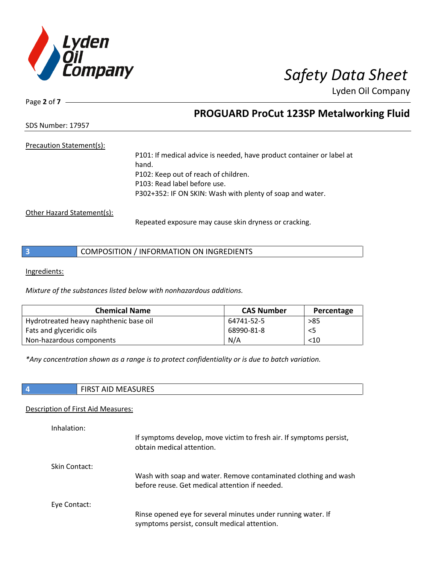

Page **2** of **7**

# **PROGUARD ProCut 123SP Metalworking Fluid**

SDS Number: 17957

## Precaution Statement(s):

P101: If medical advice is needed, have product container or label at hand. P102: Keep out of reach of children. P103: Read label before use. P302+352: IF ON SKIN: Wash with plenty of soap and water.

Other Hazard Statement(s):

Repeated exposure may cause skin dryness or cracking.

Ingredients:

*Mixture of the substances listed below with nonhazardous additions.*

| <b>Chemical Name</b>                   | <b>CAS Number</b> | Percentage |
|----------------------------------------|-------------------|------------|
| Hydrotreated heavy naphthenic base oil | 64741-52-5        | >85        |
| Fats and glyceridic oils               | 68990-81-8        | <5         |
| Non-hazardous components               | N/A               | < 10       |

*\*Any concentration shown as a range is to protect confidentiality or is due to batch variation.*

|  | ATACIDFC<br>ᆡᄓ<br>באחי<br>ıvı<br>. <i>. .</i> |
|--|-----------------------------------------------|
|  |                                               |

## Description of First Aid Measures:

| Inhalation:   | If symptoms develop, move victim to fresh air. If symptoms persist,<br>obtain medical attention.                  |
|---------------|-------------------------------------------------------------------------------------------------------------------|
| Skin Contact: | Wash with soap and water. Remove contaminated clothing and wash<br>before reuse. Get medical attention if needed. |
| Eye Contact:  | Rinse opened eye for several minutes under running water. If<br>symptoms persist, consult medical attention.      |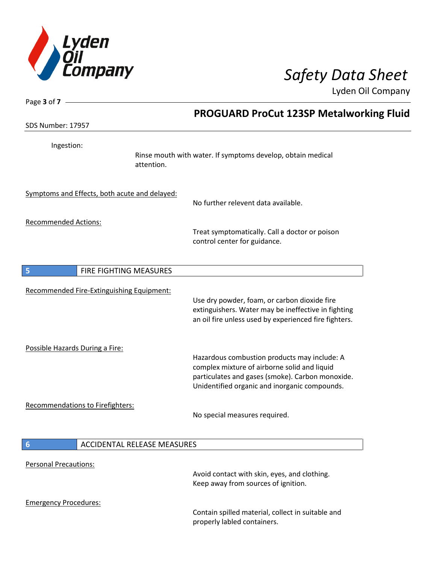

| Page 3 of 7 -                    |                                               |                                                                                                                                                                                                   |
|----------------------------------|-----------------------------------------------|---------------------------------------------------------------------------------------------------------------------------------------------------------------------------------------------------|
|                                  |                                               | <b>PROGUARD ProCut 123SP Metalworking Fluid</b>                                                                                                                                                   |
| <b>SDS Number: 17957</b>         |                                               |                                                                                                                                                                                                   |
| Ingestion:                       | attention.                                    | Rinse mouth with water. If symptoms develop, obtain medical                                                                                                                                       |
|                                  | Symptoms and Effects, both acute and delayed: | No further relevent data available.                                                                                                                                                               |
| <b>Recommended Actions:</b>      |                                               | Treat symptomatically. Call a doctor or poison<br>control center for guidance.                                                                                                                    |
| 5                                | FIRE FIGHTING MEASURES                        |                                                                                                                                                                                                   |
|                                  | Recommended Fire-Extinguishing Equipment:     | Use dry powder, foam, or carbon dioxide fire<br>extinguishers. Water may be ineffective in fighting<br>an oil fire unless used by experienced fire fighters.                                      |
| Possible Hazards During a Fire:  |                                               | Hazardous combustion products may include: A<br>complex mixture of airborne solid and liquid<br>particulates and gases (smoke). Carbon monoxide.<br>Unidentified organic and inorganic compounds. |
| Recommendations to Firefighters: |                                               | No special measures required.                                                                                                                                                                     |
| $6\phantom{1}6$                  | <b>ACCIDENTAL RELEASE MEASURES</b>            |                                                                                                                                                                                                   |
| <b>Personal Precautions:</b>     |                                               | Avoid contact with skin, eyes, and clothing.<br>Keep away from sources of ignition.                                                                                                               |
| <b>Emergency Procedures:</b>     |                                               | Contain spilled material, collect in suitable and<br>properly labled containers.                                                                                                                  |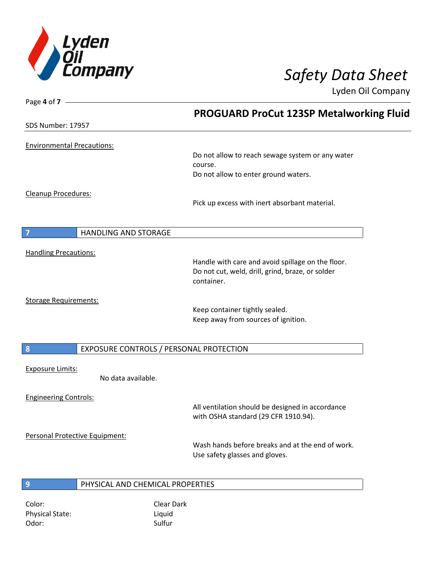

| Page 4 of $7 -$                               | <b>PROGUARD ProCut 123SP Metalworking Fluid</b>                |
|-----------------------------------------------|----------------------------------------------------------------|
| SDS Number: 17957                             |                                                                |
| <b>Environmental Precautions:</b>             |                                                                |
|                                               | Do not allow to reach sewage system or any water               |
|                                               | course.                                                        |
|                                               | Do not allow to enter ground waters.                           |
| Cleanup Procedures:                           |                                                                |
|                                               | Pick up excess with inert absorbant material.                  |
|                                               |                                                                |
| $\overline{7}$<br><b>HANDLING AND STORAGE</b> |                                                                |
| <b>Handling Precautions:</b>                  |                                                                |
|                                               | Handle with care and avoid spillage on the floor.              |
|                                               | Do not cut, weld, drill, grind, braze, or solder<br>container. |
|                                               |                                                                |
| <b>Storage Requirements:</b>                  |                                                                |
|                                               | Keep container tightly sealed.                                 |
|                                               | Keep away from sources of ignition.                            |
| 8<br>EXPOSURE CONTROLS / PERSONAL PROTECTION  |                                                                |
|                                               |                                                                |
| <b>Exposure Limits:</b><br>No data available. |                                                                |
|                                               |                                                                |
| <b>Engineering Controls:</b>                  |                                                                |
|                                               | All ventilation should be designed in accordance               |
|                                               | with OSHA standard (29 CFR 1910.94).                           |
| Personal Protective Equipment:                |                                                                |
|                                               | Wash hands before breaks and at the end of work.               |
|                                               | Use safety glasses and gloves.                                 |
| PHYSICAL AND CHEMICAL PROPERTIES              |                                                                |
| $\overline{9}$                                |                                                                |

Color: Color: Clear Dark Physical State: Liquid Odor: Sulfur Sulfur Sulfur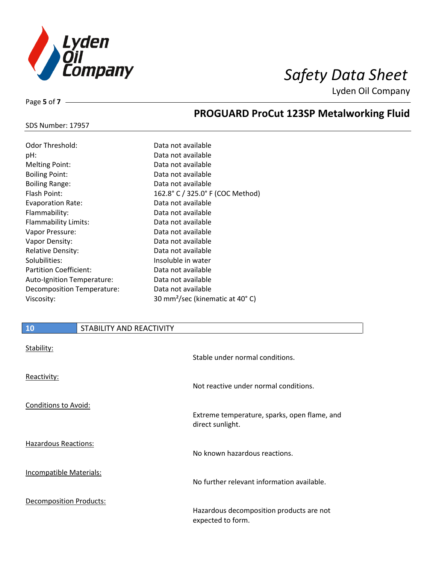

SDS Number: 17957

Page **5** of **7**

# **PROGUARD ProCut 123SP Metalworking Fluid**

| <b>Odor Threshold:</b>        | Data not available                          |
|-------------------------------|---------------------------------------------|
| pH:                           | Data not available                          |
| <b>Melting Point:</b>         | Data not available                          |
| <b>Boiling Point:</b>         | Data not available                          |
| <b>Boiling Range:</b>         | Data not available                          |
| Flash Point:                  | 162.8° C / 325.0° F (COC Method)            |
| <b>Evaporation Rate:</b>      | Data not available                          |
| Flammability:                 | Data not available                          |
| <b>Flammability Limits:</b>   | Data not available                          |
| Vapor Pressure:               | Data not available                          |
| Vapor Density:                | Data not available                          |
| <b>Relative Density:</b>      | Data not available                          |
| Solubilities:                 | Insoluble in water                          |
| <b>Partition Coefficient:</b> | Data not available                          |
| Auto-Ignition Temperature:    | Data not available                          |
| Decomposition Temperature:    | Data not available                          |
| Viscosity:                    | 30 mm <sup>2</sup> /sec (kinematic at 40°C) |

| 10                             | STABILITY AND REACTIVITY |                                                                  |
|--------------------------------|--------------------------|------------------------------------------------------------------|
| Stability:                     |                          | Stable under normal conditions.                                  |
| Reactivity:                    |                          | Not reactive under normal conditions.                            |
| <b>Conditions to Avoid:</b>    |                          | Extreme temperature, sparks, open flame, and<br>direct sunlight. |
| <b>Hazardous Reactions:</b>    |                          | No known hazardous reactions.                                    |
| <b>Incompatible Materials:</b> |                          | No further relevant information available.                       |
| Decomposition Products:        |                          | Hazardous decomposition products are not<br>expected to form.    |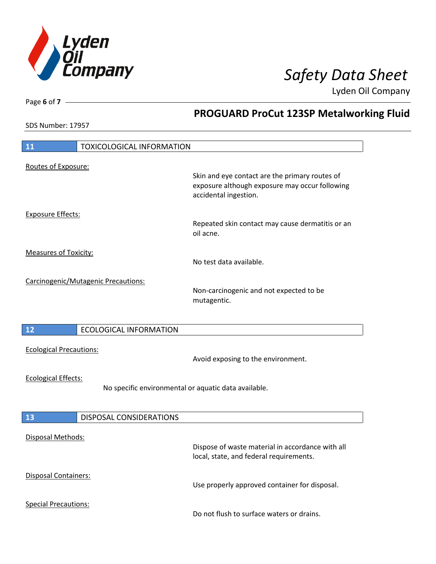

**PROGUARD ProCut 123SP Metalworking Fluid**

Lyden Oil Company

SDS Number: 17957

Page **6** of **7**

| 11<br><b>TOXICOLOGICAL INFORMATION</b>               |                                                                                                                           |  |
|------------------------------------------------------|---------------------------------------------------------------------------------------------------------------------------|--|
|                                                      |                                                                                                                           |  |
| Routes of Exposure:                                  | Skin and eye contact are the primary routes of<br>exposure although exposure may occur following<br>accidental ingestion. |  |
| <b>Exposure Effects:</b>                             |                                                                                                                           |  |
|                                                      | Repeated skin contact may cause dermatitis or an<br>oil acne.                                                             |  |
| <b>Measures of Toxicity:</b>                         |                                                                                                                           |  |
|                                                      | No test data available.                                                                                                   |  |
|                                                      |                                                                                                                           |  |
| Carcinogenic/Mutagenic Precautions:                  | Non-carcinogenic and not expected to be<br>mutagentic.                                                                    |  |
|                                                      |                                                                                                                           |  |
| 12<br><b>ECOLOGICAL INFORMATION</b>                  |                                                                                                                           |  |
| <b>Ecological Precautions:</b>                       | Avoid exposing to the environment.                                                                                        |  |
| <b>Ecological Effects:</b>                           |                                                                                                                           |  |
| No specific environmental or aquatic data available. |                                                                                                                           |  |
| DISPOSAL CONSIDERATIONS<br>13                        |                                                                                                                           |  |
|                                                      |                                                                                                                           |  |
| Disposal Methods:                                    | Dispose of waste material in accordance with all<br>local, state, and federal requirements.                               |  |
| Disposal Containers:                                 | Use properly approved container for disposal.                                                                             |  |
| <b>Special Precautions:</b>                          | Do not flush to surface waters or drains.                                                                                 |  |